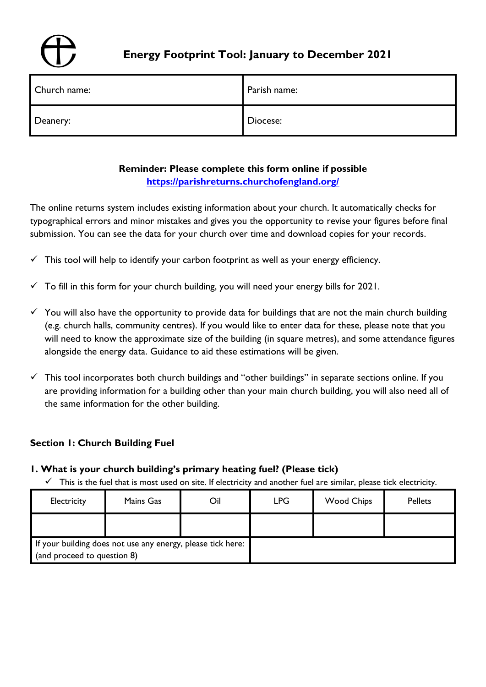

# **Energy Footprint Tool: January to December 2021**

| Church name: | Parish name: |
|--------------|--------------|
| Deanery:     | Diocese:     |

# **Reminder: Please complete this form online if possible <https://parishreturns.churchofengland.org/>**

The online returns system includes existing information about your church. It automatically checks for typographical errors and minor mistakes and gives you the opportunity to revise your figures before final submission. You can see the data for your church over time and download copies for your records.

- $\checkmark$  This tool will help to identify your carbon footprint as well as your energy efficiency.
- $\checkmark$  To fill in this form for your church building, you will need your energy bills for 2021.
- $\checkmark$  You will also have the opportunity to provide data for buildings that are not the main church building (e.g. church halls, community centres). If you would like to enter data for these, please note that you will need to know the approximate size of the building (in square metres), and some attendance figures alongside the energy data. Guidance to aid these estimations will be given.
- $\checkmark$  This tool incorporates both church buildings and "other buildings" in separate sections online. If you are providing information for a building other than your main church building, you will also need all of the same information for the other building.

# **Section 1: Church Building Fuel**

- **1. What is your church building's primary heating fuel? (Please tick)**
	- $\checkmark$  This is the fuel that is most used on site. If electricity and another fuel are similar, please tick electricity.

| Electricity                                                                                | Mains Gas | Oil | <b>LPG</b> | <b>Wood Chips</b> | <b>Pellets</b> |
|--------------------------------------------------------------------------------------------|-----------|-----|------------|-------------------|----------------|
|                                                                                            |           |     |            |                   |                |
| If your building does not use any energy, please tick here:<br>(and proceed to question 8) |           |     |            |                   |                |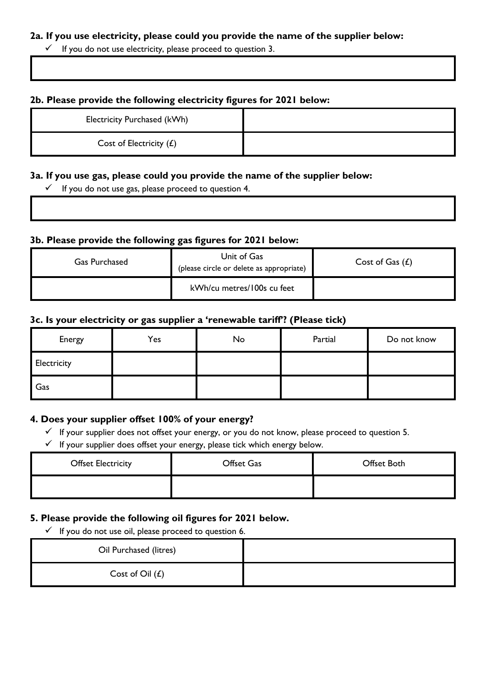#### **2a. If you use electricity, please could you provide the name of the supplier below:**

 $\checkmark$  If you do not use electricity, please proceed to question 3.

### **2b. Please provide the following electricity figures for 2021 below:**

| Electricity Purchased (kWh) |  |
|-----------------------------|--|
| Cost of Electricity $(E)$   |  |

#### **3a. If you use gas, please could you provide the name of the supplier below:**

 $\checkmark$  If you do not use gas, please proceed to question 4.

#### **3b. Please provide the following gas figures for 2021 below:**

| <b>Gas Purchased</b> | Unit of Gas<br>(please circle or delete as appropriate) | Cost of Gas $(E)$ |
|----------------------|---------------------------------------------------------|-------------------|
|                      | kWh/cu metres/100s cu feet                              |                   |

#### **3c. Is your electricity or gas supplier a 'renewable tariff'? (Please tick)**

| Energy      | Yes | No | Partial | Do not know |
|-------------|-----|----|---------|-------------|
| Electricity |     |    |         |             |
| Gas         |     |    |         |             |

#### **4. Does your supplier offset 100% of your energy?**

- ✓ If your supplier does not offset your energy, or you do not know, please proceed to question 5.
- $\checkmark$  If your supplier does offset your energy, please tick which energy below.

| <b>Offset Electricity</b> | Offset Gas | Offset Both |
|---------------------------|------------|-------------|
|                           |            |             |

#### **5. Please provide the following oil figures for 2021 below.**

 $\checkmark$  If you do not use oil, please proceed to question 6.

| Oil Purchased (litres) |  |
|------------------------|--|
| Cost of Oil $(E)$      |  |